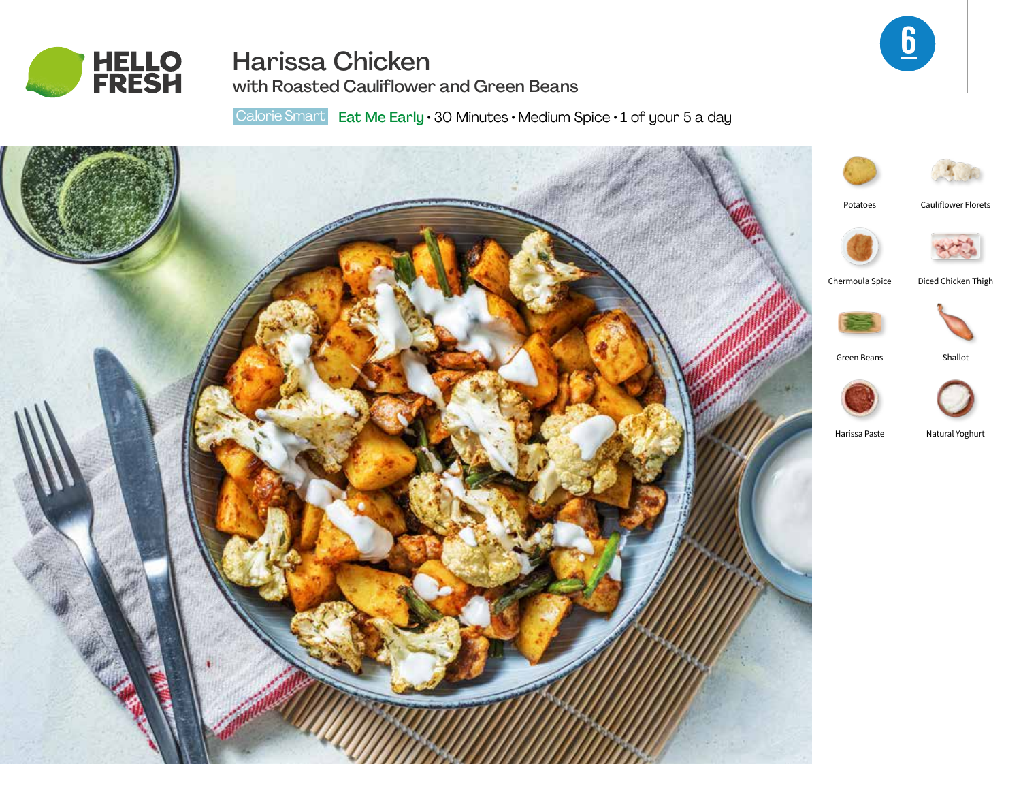

# Harissa Chicken



with Roasted Cauliflower and Green Beans

Calorie Smart Eat Me Early · 30 Minutes · Medium Spice · 1 of your 5 a day